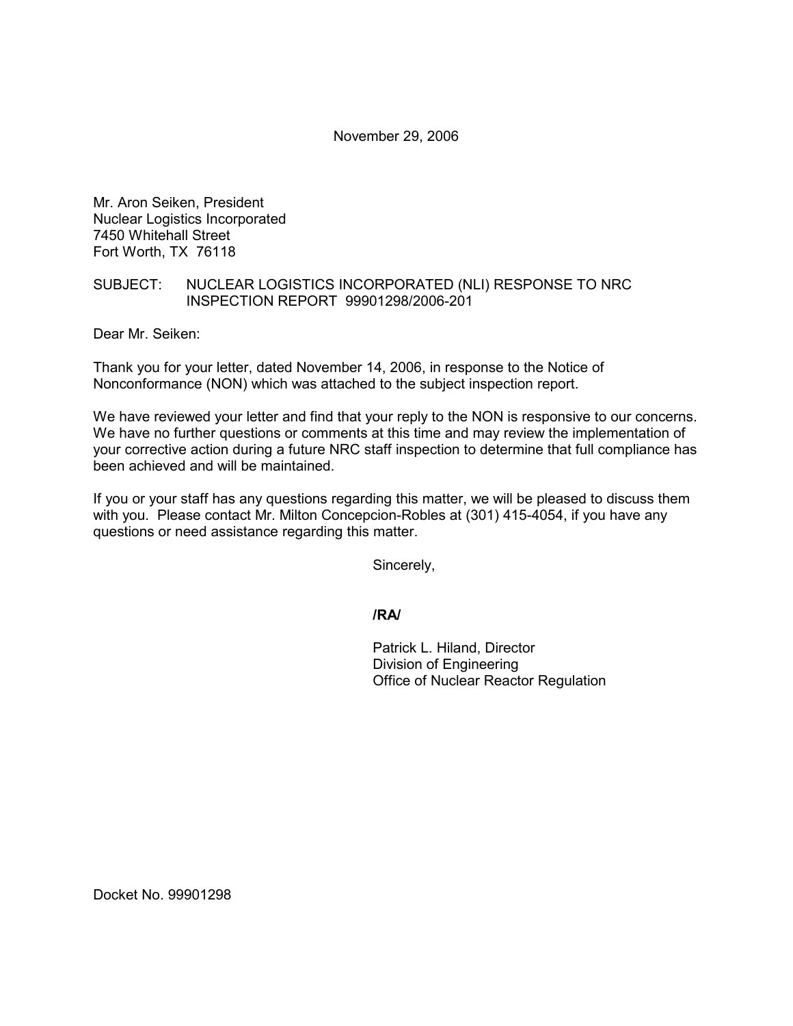November 29, 2006

Mr. Aron Seiken, President Nuclear Logistics Incorporated 7450 Whitehall Street Fort Worth, TX 76118

## SUBJECT: NUCLEAR LOGISTICS INCORPORATED (NLI) RESPONSE TO NRC INSPECTION REPORT 99901298/2006-201

Dear Mr. Seiken:

Thank you for your letter, dated November 14, 2006, in response to the Notice of Nonconformance (NON) which was attached to the subject inspection report.

We have reviewed your letter and find that your reply to the NON is responsive to our concerns. We have no further questions or comments at this time and may review the implementation of your corrective action during a future NRC staff inspection to determine that full compliance has been achieved and will be maintained.

If you or your staff has any questions regarding this matter, we will be pleased to discuss them with you. Please contact Mr. Milton Concepcion-Robles at (301) 415-4054, if you have any questions or need assistance regarding this matter.

Sincerely,

**/RA/**

Patrick L. Hiland, Director Division of Engineering Office of Nuclear Reactor Regulation

Docket No. 99901298